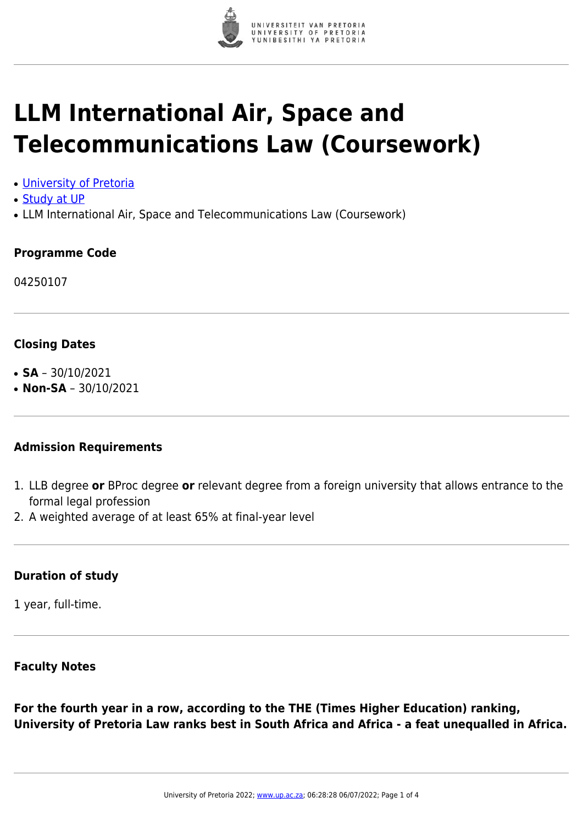

## **LLM International Air, Space and Telecommunications Law (Coursework)**

- [University of Pretoria](https://www.up.ac.za/home)
- [Study at UP](https://www.up.ac.za/programmes)
- LLM International Air, Space and Telecommunications Law (Coursework)

#### **Programme Code**

04250107

#### **Closing Dates**

- $\cdot$  **SA** 30/10/2021
- **Non-SA** 30/10/2021

### **Admission Requirements**

- 1. LLB degree **or** BProc degree **or** relevant degree from a foreign university that allows entrance to the formal legal profession
- 2. A weighted average of at least 65% at final-year level

#### **Duration of study**

1 year, full-time.

#### **Faculty Notes**

**For the fourth year in a row, according to the THE (Times Higher Education) ranking, University of Pretoria Law ranks best in South Africa and Africa - a feat unequalled in Africa.**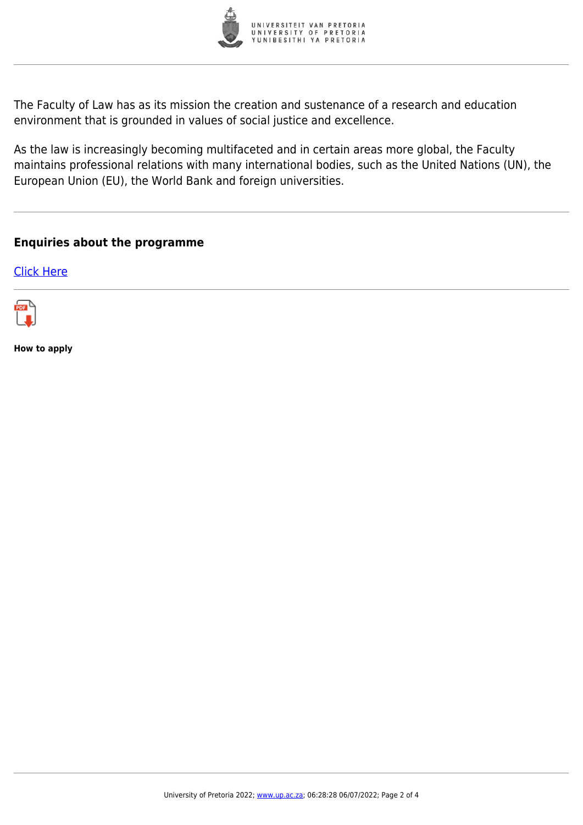

The Faculty of Law has as its mission the creation and sustenance of a research and education environment that is grounded in values of social justice and excellence.

As the law is increasingly becoming multifaceted and in certain areas more global, the Faculty maintains professional relations with many international bodies, such as the United Nations (UN), the European Union (EU), the World Bank and foreign universities.

#### **Enquiries about the programme**

[Click Here](https://www.up.ac.za/postgraduate-students)



**How to apply**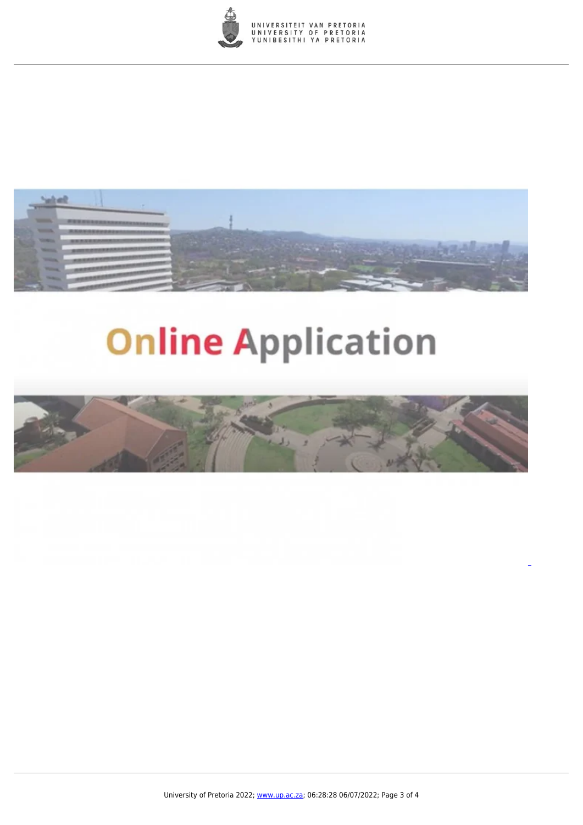



# **Online Application**